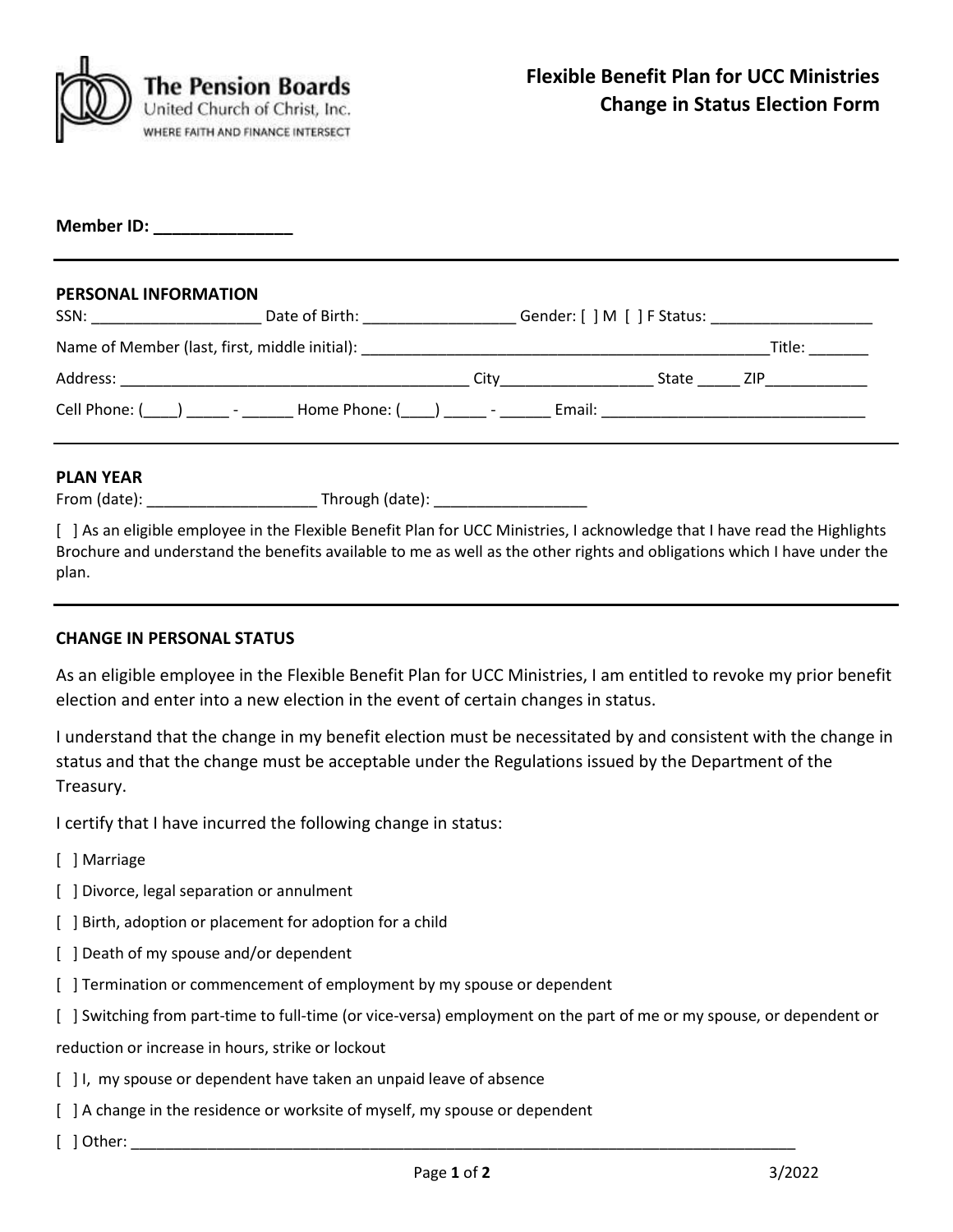

**Member ID: \_\_\_\_\_\_\_\_\_\_\_\_\_\_\_**

## **PERSONAL INFORMATION**

| SSN:                                                   | Date of Birth: The Case of Birth:            |      | Gender: [ ] M [ ] F Status: |       |        |
|--------------------------------------------------------|----------------------------------------------|------|-----------------------------|-------|--------|
| Name of Member (last, first, middle initial):          |                                              |      |                             |       | Title: |
| Address:                                               |                                              | City |                             | State | ZIP.   |
| Cell Phone: $(\_\_\_\_\_\_\_\_\_$ - ________ - _______ | Home Phone: $(\_\_\_\_) \_\_\_\_$ - $\_\_\_$ |      | Email:                      |       |        |

### **PLAN YEAR**

| From (date): | Through (date): |  |
|--------------|-----------------|--|
|--------------|-----------------|--|

[ ] As an eligible employee in the Flexible Benefit Plan for UCC Ministries, I acknowledge that I have read the Highlights Brochure and understand the benefits available to me as well as the other rights and obligations which I have under the plan.

### **CHANGE IN PERSONAL STATUS**

As an eligible employee in the Flexible Benefit Plan for UCC Ministries, I am entitled to revoke my prior benefit election and enter into a new election in the event of certain changes in status.

I understand that the change in my benefit election must be necessitated by and consistent with the change in status and that the change must be acceptable under the Regulations issued by the Department of the Treasury.

I certify that I have incurred the following change in status:

- [ ] Marriage
- [ ] Divorce, legal separation or annulment
- [ ] Birth, adoption or placement for adoption for a child
- [ ] Death of my spouse and/or dependent
- [ ] Termination or commencement of employment by my spouse or dependent
- [ ] Switching from part-time to full-time (or vice-versa) employment on the part of me or my spouse, or dependent or

reduction or increase in hours, strike or lockout

- [ ] I, my spouse or dependent have taken an unpaid leave of absence
- [ ] A change in the residence or worksite of myself, my spouse or dependent
- $\lceil$  ] Other: